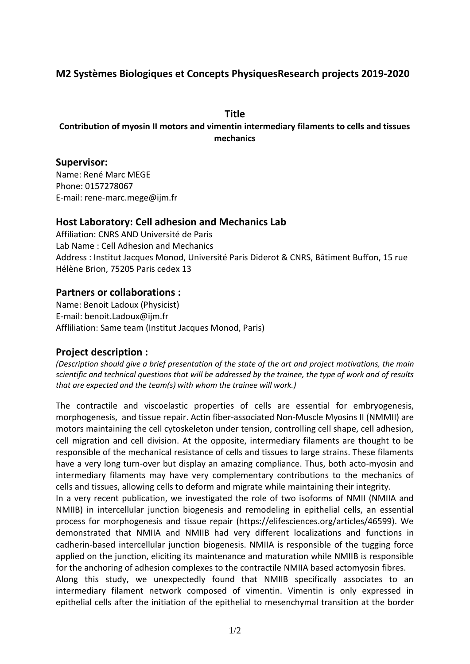# **M2 Systèmes Biologiques et Concepts PhysiquesResearch projects 2019-2020**

#### **Title**

# **Contribution of myosin II motors and vimentin intermediary filaments to cells and tissues mechanics**

#### **Supervisor:**

Name: René Marc MEGE Phone: 0157278067 E-mail: rene-marc.mege@ijm.fr

### **Host Laboratory: Cell adhesion and Mechanics Lab**

Affiliation: CNRS AND Université de Paris Lab Name : Cell Adhesion and Mechanics Address : Institut Jacques Monod, Université Paris Diderot & CNRS, Bâtiment Buffon, 15 rue Hélène Brion, 75205 Paris cedex 13

### **Partners or collaborations :**

Name: Benoit Ladoux (Physicist) E-mail: benoit.Ladoux@ijm.fr Affliliation: Same team (Institut Jacques Monod, Paris)

# **Project description :**

*(Description should give a brief presentation of the state of the art and project motivations, the main scientific and technical questions that will be addressed by the trainee, the type of work and of results that are expected and the team(s) with whom the trainee will work.)*

The contractile and viscoelastic properties of cells are essential for embryogenesis, morphogenesis, and tissue repair. Actin fiber-associated Non-Muscle Myosins II (NMMII) are motors maintaining the cell cytoskeleton under tension, controlling cell shape, cell adhesion, cell migration and cell division. At the opposite, intermediary filaments are thought to be responsible of the mechanical resistance of cells and tissues to large strains. These filaments have a very long turn-over but display an amazing compliance. Thus, both acto-myosin and intermediary filaments may have very complementary contributions to the mechanics of cells and tissues, allowing cells to deform and migrate while maintaining their integrity.

In a very recent publication, we investigated the role of two isoforms of NMII (NMIIA and NMIIB) in intercellular junction biogenesis and remodeling in epithelial cells, an essential process for morphogenesis and tissue repair (https://elifesciences.org/articles/46599). We demonstrated that NMIIA and NMIIB had very different localizations and functions in cadherin-based intercellular junction biogenesis. NMIIA is responsible of the tugging force applied on the junction, eliciting its maintenance and maturation while NMIIB is responsible for the anchoring of adhesion complexes to the contractile NMIIA based actomyosin fibres. Along this study, we unexpectedly found that NMIIB specifically associates to an intermediary filament network composed of vimentin. Vimentin is only expressed in

epithelial cells after the initiation of the epithelial to mesenchymal transition at the border